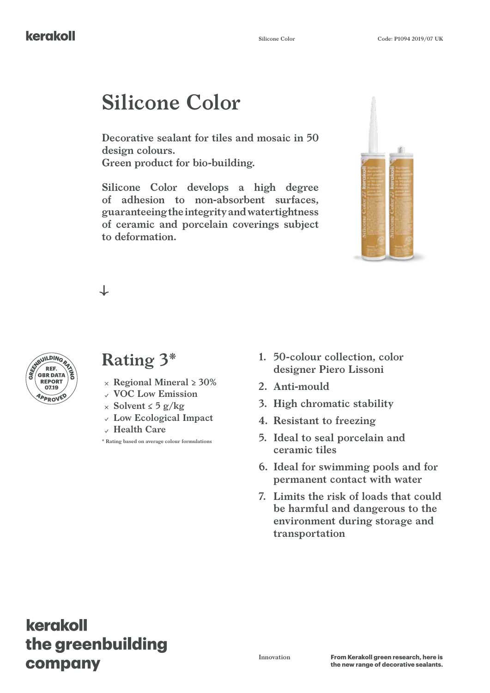# **Silicone Color**

**Decorative sealant for tiles and mosaic in 50 design colours. Green product for bio-building.**

**Silicone Color develops a high degree of adhesion to non-absorbent surfaces, guaranteeing the integrity and watertightness of ceramic and porcelain coverings subject to deformation.**



┙



# **Rating 3\***

- **Regional Mineral ≥ 30%**
- **VOC Low Emission**
- **Solvent ≤ 5 g/kg**
- **Low Ecological Impact**
- **Health Care**

**\* Rating based on average colour formulations**

- **1. 50-colour collection, color designer Piero Lissoni**
- **2. Anti-mould**
- **3. High chromatic stability**
- **4. Resistant to freezing**
- **5. Ideal to seal porcelain and ceramic tiles**
- **6. Ideal for swimming pools and for permanent contact with water**
- **7. Limits the risk of loads that could be harmful and dangerous to the environment during storage and transportation**

# kerakoll the greenbuilding company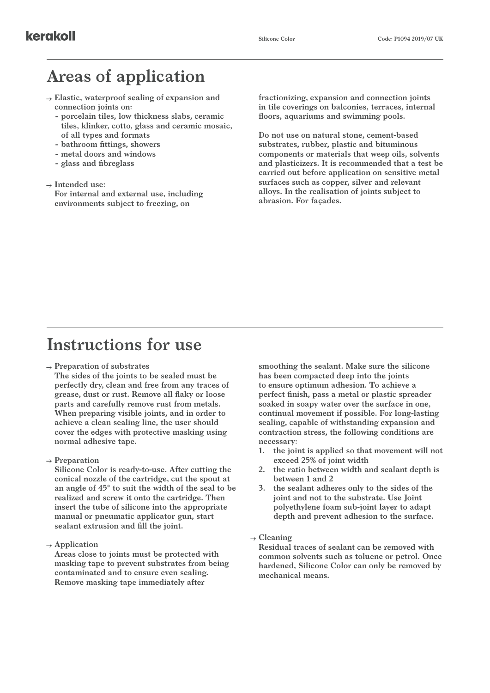# **Areas of application**

- **Elastic, waterproof sealing of expansion and connection joints on:**
	- **- porcelain tiles, low thickness slabs, ceramic tiles, klinker, cotto, glass and ceramic mosaic, of all types and formats**
	- **- bathroom fittings, showers**
	- **- metal doors and windows**
	- **- glass and fibreglass**

#### **Intended use:**

**For internal and external use, including environments subject to freezing, on** 

**fractionizing, expansion and connection joints in tile coverings on balconies, terraces, internal floors, aquariums and swimming pools.**

**Do not use on natural stone, cement-based substrates, rubber, plastic and bituminous components or materials that weep oils, solvents and plasticizers. It is recommended that a test be carried out before application on sensitive metal surfaces such as copper, silver and relevant alloys. In the realisation of joints subject to abrasion. For façades.**

### **Instructions for use**

#### **Preparation of substrates**

**The sides of the joints to be sealed must be perfectly dry, clean and free from any traces of grease, dust or rust. Remove all flaky or loose parts and carefully remove rust from metals. When preparing visible joints, and in order to achieve a clean sealing line, the user should cover the edges with protective masking using normal adhesive tape.**

**Preparation**

**Silicone Color is ready-to-use. After cutting the conical nozzle of the cartridge, cut the spout at an angle of 45° to suit the width of the seal to be realized and screw it onto the cartridge. Then insert the tube of silicone into the appropriate manual or pneumatic applicator gun, start sealant extrusion and fill the joint.**

**Application**

**Areas close to joints must be protected with masking tape to prevent substrates from being contaminated and to ensure even sealing. Remove masking tape immediately after** 

**smoothing the sealant. Make sure the silicone has been compacted deep into the joints to ensure optimum adhesion. To achieve a perfect finish, pass a metal or plastic spreader soaked in soapy water over the surface in one, continual movement if possible. For long-lasting sealing, capable of withstanding expansion and contraction stress, the following conditions are necessary:**

- **1. the joint is applied so that movement will not exceed 25% of joint width**
- **2. the ratio between width and sealant depth is between 1 and 2**
- **3. the sealant adheres only to the sides of the joint and not to the substrate. Use Joint polyethylene foam sub-joint layer to adapt depth and prevent adhesion to the surface.**
- **Cleaning**

**Residual traces of sealant can be removed with common solvents such as toluene or petrol. Once hardened, Silicone Color can only be removed by mechanical means.**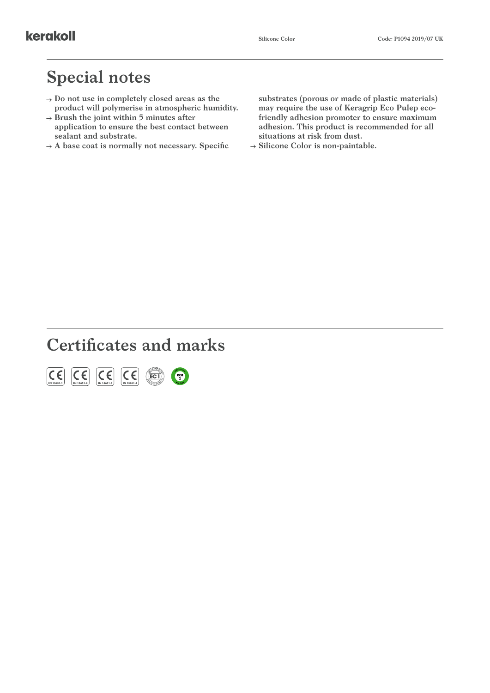### **Special notes**

- **Do not use in completely closed areas as the product will polymerise in atmospheric humidity.**
- **Brush the joint within 5 minutes after application to ensure the best contact between sealant and substrate.**
- **A base coat is normally not necessary. Specific**

**substrates (porous or made of plastic materials) may require the use of Keragrip Eco Pulep ecofriendly adhesion promoter to ensure maximum adhesion. This product is recommended for all situations at risk from dust.**

**Silicone Color is non-paintable.**

# **Certificates and marks**

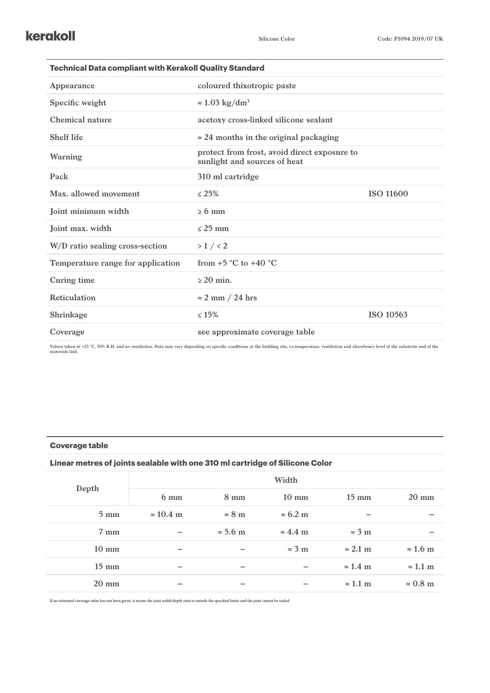| <b>Technical Data compliant with Kerakoll Quality Standard</b> |                                                                              |                  |  |  |  |
|----------------------------------------------------------------|------------------------------------------------------------------------------|------------------|--|--|--|
| Appearance                                                     | coloured thixotropic paste                                                   |                  |  |  |  |
| Specific weight                                                | $\approx 1.03$ kg/dm <sup>3</sup>                                            |                  |  |  |  |
| Chemical nature                                                | acetoxy cross-linked silicone sealant                                        |                  |  |  |  |
| <b>Shelf life</b>                                              | $\approx$ 24 months in the original packaging                                |                  |  |  |  |
| Warning                                                        | protect from frost, avoid direct exposure to<br>sunlight and sources of heat |                  |  |  |  |
| Pack                                                           | 310 ml cartridge                                                             |                  |  |  |  |
| Max. allowed movement                                          | $\leq 25\%$                                                                  | <b>ISO 11600</b> |  |  |  |
| Joint minimum width                                            | $\geq 6$ mm                                                                  |                  |  |  |  |
| Joint max. width                                               | $<$ 25 mm                                                                    |                  |  |  |  |
| W/D ratio sealing cross-section                                | $>1$ / $<2$                                                                  |                  |  |  |  |
| Temperature range for application                              | from $+5$ °C to $+40$ °C                                                     |                  |  |  |  |
| Curing time                                                    | $>$ 20 min.                                                                  |                  |  |  |  |
| <b>Reticulation</b>                                            | $\approx$ 2 mm / 24 hrs                                                      |                  |  |  |  |
| Shrinkage                                                      | $\leq 15\%$                                                                  | ISO 10563        |  |  |  |
| Coverage                                                       | see approximate coverage table                                               |                  |  |  |  |
|                                                                |                                                                              |                  |  |  |  |

Values taken at +23 °C, 50% R.H. and no ventilation. Data may vary depending on specific conditions at the building site, i.e.temperature, ventilation and absorbency level of the substrate and of the<br>materials laid.

### **Coverage table**

### **Linear metres of joints sealable with one 310 ml cartridge of Silicone Color**

| Depth           |                          |                 | Width                   |                 |                 |
|-----------------|--------------------------|-----------------|-------------------------|-----------------|-----------------|
|                 | $6 \text{ mm}$           | $8 \text{ mm}$  | $10 \text{ mm}$         | $15 \text{ mm}$ | $20 \text{ mm}$ |
| $5 \text{ mm}$  | $\approx 10.4$ m         | $\approx 8$ m   | $\approx 6.2 \text{ m}$ |                 |                 |
| $7 \text{ mm}$  | $\overline{\phantom{0}}$ | $\approx$ 5.6 m | $\approx 4.4$ m         | $\approx$ 3 m   |                 |
| $10 \text{ mm}$ |                          |                 | $\approx$ 3 m           | $\approx$ 2.1 m | $\approx$ 1.6 m |
| $15 \text{ mm}$ |                          |                 |                         | $\approx$ 1.4 m | $\approx$ 1.1 m |
| $20 \text{ mm}$ |                          |                 |                         | $\approx$ 1.1 m | $\approx 0.8$ m |

If an estimated coverage value has not been given, it means the joint width/depth ratio is outside the specified limits and the joint cannot be sealed.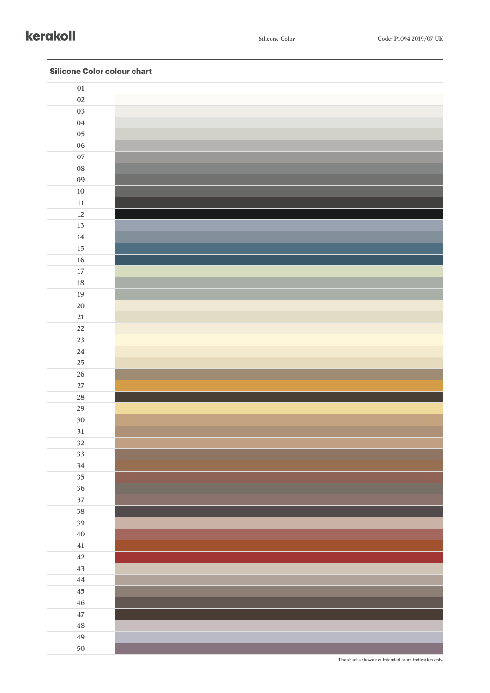### kerakoll

| ${\bf 01}$   |  |
|--------------|--|
| $02\,$       |  |
| 03           |  |
| $04\,$       |  |
| $05\,$       |  |
| ${\bf 06}$   |  |
| $07\,$       |  |
| ${\bf 08}$   |  |
| 09           |  |
| $10\,$       |  |
| $11\,$       |  |
| $12\,$       |  |
| 13           |  |
| $14\,$       |  |
| $15\,$       |  |
| $16\,$       |  |
| $17\,$       |  |
| 18           |  |
| 19           |  |
| 20           |  |
| 21           |  |
| 22           |  |
| 23           |  |
| ${\bf 24}$   |  |
| 25<br>$26\,$ |  |
| $27\,$       |  |
| $28\,$       |  |
| 29           |  |
| $30\,$       |  |
| 31           |  |
| 32           |  |
| 33           |  |
| $34\,$       |  |
| $35\,$       |  |
| 36           |  |
| $37\,$       |  |
| 38           |  |
| 39           |  |
| $40\,$       |  |
| $\bf 41$     |  |
| $42\,$       |  |
| 43           |  |
| $\bf 44$     |  |
| $\bf 45$     |  |
| ${\bf 46}$   |  |
| $\bf 47$     |  |
| $\bf 48$     |  |
| 49           |  |

### **Silicone Color colour chart**

**The shades shown are intended as an indication only.**